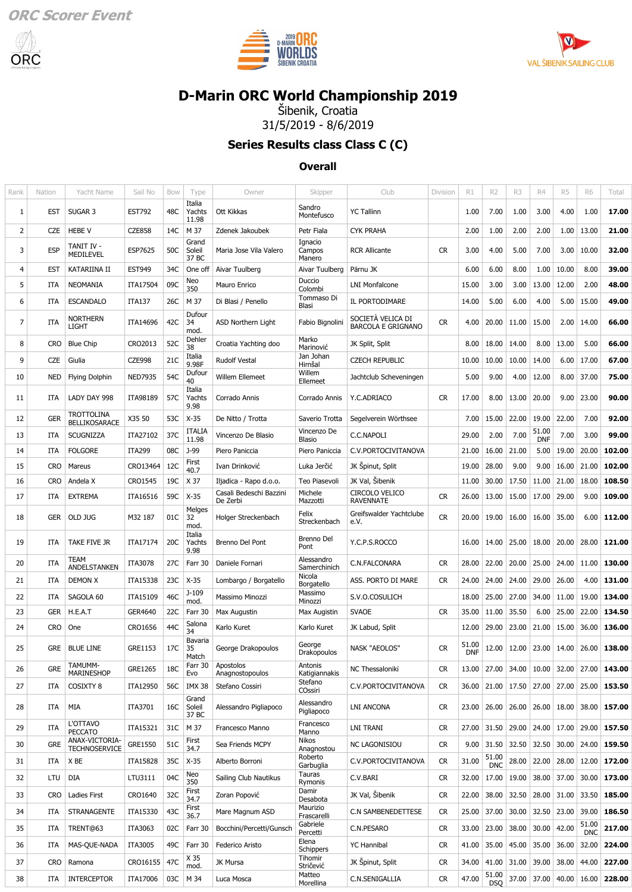





# **[D-Marin ORC World Championship 2019](https://data.orc.org/public/WEV.dll?action=index&eventid=WORLDS19)**

Šibenik, Croatia 31/5/2019 - 8/6/2019

### **Series Results class Class C (C)**

#### **Overall**

| Italia<br>Sandro<br>17.00<br>SUGAR 3<br><b>EST792</b><br>48C<br>Ott Kikkas<br><b>YC Tallinn</b><br>7.00<br>1.00<br>4.00<br>1.00<br>1<br><b>EST</b><br>Yachts<br>1.00<br>3.00<br>Montefusco<br>11.98<br>1.00<br>13.00<br>21.00<br>2<br>CZE<br><b>HEBE V</b><br><b>CZE858</b><br>14C<br>M 37<br>Petr Fiala<br><b>CYK PRAHA</b><br>2.00<br>1.00<br>2.00<br>2.00<br>Zdenek Jakoubek<br>Grand<br>Ignacio<br>TANIT IV -<br>10.00<br>32.00<br>3<br><b>ESP</b><br>ESP7625<br>50C<br><b>CR</b><br>3.00<br>4.00<br>5.00<br>7.00<br>3.00<br>Soleil<br>Maria Jose Vila Valero<br>Campos<br><b>RCR Allicante</b><br><b>MEDILEVEL</b><br>37 BC<br>Manero<br>6.00<br>8.00<br>10.00<br>8.00<br>39.00<br>4<br><b>EST</b><br>KATARIINA II<br><b>EST949</b><br>34C<br>One off<br>6.00<br>1.00<br>Aivar Tuulberg<br>Aivar Tuulberg<br>Pärnu JK<br>Neo<br>Duccio<br>5<br>2.00<br>48.00<br><b>NEOMANIA</b><br>09C<br>15.00<br>3.00<br>3.00<br>13.00<br>12.00<br>ITA<br>ITA17504<br>Mauro Enrico<br><b>LNI Monfalcone</b><br>350<br>Colombi<br>Tommaso Di<br>15.00<br>49.00<br>6<br>26C<br>M 37<br>5.00<br>6.00<br>4.00<br>5.00<br><b>ITA</b><br><b>ESCANDALO</b><br><b>ITA137</b><br>Di Blasi / Penello<br>IL PORTODIMARE<br>14.00<br>Blasi<br>Dufour<br>NORTHERN<br>SOCIETÀ VELICA DI<br>$\overline{7}$<br>14.00<br>66.00<br>ITA14696<br>42C<br>34<br>Fabio Bignolini<br><b>CR</b><br>20.00<br>11.00<br>15.00<br>2.00<br><b>ITA</b><br>ASD Northern Light<br>4.00<br><b>LIGHT</b><br><b>BARCOLA E GRIGNANO</b><br>mod.<br>Marko<br>Dehler<br>52C<br>8<br>13.00<br>5.00<br>66.00<br>CRO2013<br>18.00<br>14.00<br>8.00<br><b>CRO</b><br><b>Blue Chip</b><br>Croatia Yachting doo<br>JK Split, Split<br>8.00<br>38<br>Marinović<br>Italia<br>Jan Johan<br>67.00<br>9<br>21C<br>6.00<br>17.00<br><b>CZE</b><br>Giulia<br><b>CZE998</b><br><b>Rudolf Vestal</b><br><b>CZECH REPUBLIC</b><br>10.00<br>10.00<br>14.00<br>10.00<br>9.98F<br>Hirnšal<br>Dufour<br>Willem<br>75.00<br><b>NED7935</b><br>54C<br><b>Willem Ellemeet</b><br>5.00<br>9.00<br>4.00<br>12.00<br>8.00<br>37.00<br>10<br>NED<br><b>Flying Dolphin</b><br>Jachtclub Scheveningen<br>40<br>Ellemeet<br>Italia<br>23.00<br>90.00<br>LADY DAY 998<br>ITA98189<br>57C<br>Y.C.ADRIACO<br><b>CR</b><br>17.00<br>8.00<br>13.00<br>20.00<br>9.00<br>11<br>ITA<br>Yachts<br>Corrado Annis<br>Corrado Annis<br>9.98<br>TROTTOLINA<br>X35 50<br>$X-35$<br>22.00<br>19.00<br>22.00<br>7.00<br>92.00<br>12<br><b>GER</b><br>53C<br>Saverio Trotta<br>7.00<br>15.00<br>De Nitto / Trotta<br>Segelverein Wörthsee<br><b>BELLIKOSARACE</b><br><b>ITALIA</b><br>Vincenzo De<br>51.00<br>37C<br>7.00<br>3.00<br>99.00<br>2.00<br>7.00<br>13<br>SCUGNIZZA<br>ITA27102<br>Vincenzo De Blasio<br>C.C.NAPOLI<br>29.00<br><b>ITA</b><br>11.98<br><b>DNF</b><br>Blasio<br>08C<br>J-99<br>19.00<br>20.00<br>102.00<br>14<br>ITA<br><b>FOLGORE</b><br><b>ITA299</b><br>Piero Paniccia<br>Piero Paniccia<br>C.V.PORTOCIVITANOVA<br>21.00<br>16.00<br>21.00<br>5.00<br>First<br>102.00<br>15<br><b>CRO</b><br>CRO13464<br>12C<br>Luka Jerčić<br>JK Spinut, Split<br>19.00<br>28.00<br>9.00<br>9.00<br>16.00<br>21.00<br>Mareus<br>Ivan Drinković<br>40.7<br>19C<br>X 37<br>JK Val, Šibenik<br>21.00<br>18.00<br>108.50<br>16<br><b>CRO</b><br>CRO1545<br><b>Teo Piasevoli</b><br>30.00<br>17.50<br>11.00<br>Andela X<br>Iljadica - Rapo d.o.o.<br>11.00<br>CIRCOLO VELICO<br>Casali Bedeschi Bazzini<br>Michele<br>59C<br>$X-35$<br><b>CR</b><br>15.00<br>17.00<br>29.00<br>9.00<br>109.00<br>17<br><b>ITA</b><br><b>EXTREMA</b><br>ITA16516<br>26.00<br>13.00<br>De Zerbi<br><b>RAVENNATE</b><br>Mazzotti<br>Melges<br>Felix<br>Greifswalder Yachtclube<br>01C<br><b>CR</b><br>18<br>GER<br>OLD JUG<br>M32 187<br>32<br>20.00<br>19.00<br>16.00<br>16.00<br>35.00<br>6.00<br>112.00<br>Holger Streckenbach<br>Streckenbach<br>e.V.<br>mod.<br>Italia<br>Brenno Del<br>19<br>TAKE FIVE JR<br>ITA17174<br>20C<br>Y.C.P.S.ROCCO<br>14.00<br>25.00<br>18.00<br>20.00<br>28.00<br>121.00<br>ITA<br>Yachts<br>Brenno Del Pont<br>16.00<br>Pont<br>9.98<br>TEAM<br>Alessandro<br>130.00<br>20<br><b>ITA</b><br>ITA3078<br>27C<br>Farr 30<br>C.N.FALCONARA<br><b>CR</b><br>28.00<br>22.00<br>20.00<br>25.00<br>24.00<br>11.00<br>Daniele Fornari<br>ANDELSTANKEN<br>Samerchinich<br>Nicola<br>23C<br>131.00<br><b>DEMON X</b><br>ITA15338<br>$X-35$<br>ASS. PORTO DI MARE<br><b>CR</b><br>24.00<br>24.00<br>29.00<br>26.00<br>4.00<br>21<br><b>ITA</b><br>Lombargo / Borgatello<br>24.00<br>Borgatello<br>$J-109$<br>Massimo<br>46C<br>11.00<br>19.00<br>134.00<br>22<br><b>ITA</b><br>SAGOLA 60<br>ITA15109<br>S.V.O.COSULICH<br>18.00<br>25.00<br>27.00<br>34.00<br>Massimo Minozzi<br>mod.<br>Minozzi<br>134.50<br>23<br><b>GER</b><br>H.E.A.T<br>GER4640<br>22C<br><b>CR</b><br>11.00<br>35.50<br>6.00<br>25.00<br>22.00<br>Farr 30<br>Max Augustin<br>Max Augistin<br><b>SVAOE</b><br>35.00<br>Salona<br>44C<br>136.00<br>12.00<br>29.00<br>23.00<br>21.00<br>15.00<br>36.00<br>24<br><b>CRO</b><br>One<br>CRO1656<br>Karlo Kuret<br>Karlo Kuret<br>JK Labud, Split<br>34<br>Bavaria<br>51.00<br>George<br>25<br><b>CR</b><br>12.00<br>12.00<br>26.00<br>138.00<br><b>GRE</b><br><b>BLUE LINE</b><br>GRE1153<br>17C<br>35<br><b>NASK "AEOLOS"</b><br>23.00   14.00<br>George Drakopoulos<br><b>DNF</b><br>Drakopoulos<br>Match<br>TAMUMM-<br>Farr 30<br>Apostolos<br>Antonis<br><b>GRE</b><br>GRE1265<br>18C<br>NC Thessaloniki<br>27.00<br>143.00<br>26<br>CR<br>13.00<br>27.00<br>34.00<br>10.00<br>32.00<br>MARINESHOP<br>Anagnostopoulos<br>Katigiannakis<br>Evo<br>Stefano<br>COSIXTY 8<br>25.00<br>27<br>ITA<br>ITA12950<br>56C<br><b>IMX 38</b><br>Stefano Cossiri<br>C.V.PORTOCIVITANOVA<br><b>CR</b><br>36.00   21.00   17.50<br>27.00 27.00<br>153.50<br>COssiri<br>Grand<br>Alessandro<br>MIA<br><b>LNI ANCONA</b><br><b>CR</b><br>26.00 18.00<br>157.00<br>28<br>ITA<br>ITA3701<br>16C<br>Soleil<br>Alessandro Pigliapoco<br>23.00   26.00  <br>26.00<br>38.00<br>Pigliapoco<br>37 BC<br>L'OTTAVO<br>Francesco<br>29<br>31C<br>M 37<br><b>CR</b><br>27.00 31.50<br>29.00<br>24.00 17.00<br>29.00<br>157.50<br>ITA<br>ITA15321<br>Francesco Manno<br>LNI TRANI<br><b>PECCATO</b><br>Manno<br>ANAX-VICTORIA-<br>Nikos<br>First<br>GRE1550<br>51C<br><b>GRE</b><br>$9.00$ 31.50<br>32.50<br>32.50 30.00<br>24.00<br>159.50<br>30<br>Sea Friends MCPY<br><b>NC LAGONISIOU</b><br><b>CR</b><br><b>TECHNOSERVICE</b><br>34.7<br>Anagnostou<br>Roberto<br>51.00<br>X BE<br><b>CR</b><br>31.00<br>28.00<br>22.00<br>28.00<br>12.00<br>172.00<br>31<br>ITA<br>ITA15828<br>35C<br>$X-35$<br>Alberto Borroni<br>C.V.PORTOCIVITANOVA<br><b>DNC</b><br>Garbuglia<br>Tauras<br>Neo<br><b>DIA</b><br>04C<br>38.00 37.00<br>173.00<br>32<br>LTU<br>LTU3111<br>Sailing Club Nautikus<br>C.V.BARI<br><b>CR</b><br>32.00<br>17.00<br>19.00<br>30.00<br>350<br>Rymonis<br>Damir<br>First<br>32C<br>JK Val, Šibenik<br><b>Ladies First</b><br>CRO1640<br>38.00<br>32.50<br>28.00 31.00<br>33.50<br>185.00<br>33<br>Zoran Popović<br><b>CR</b><br>22.00<br>CRO<br>34.7<br>Desabota<br>Maurizio<br>First<br>43C<br>30.00<br>32.50 23.00<br>39.00<br>186.50<br>34<br>ITA<br><b>STRANAGENTE</b><br>ITA15330<br>Mare Magnum ASD<br>C.N SAMBENEDETTESE<br><b>CR</b><br>25.00<br>37.00<br>36.7<br>Frascarelli<br>Gabriele<br>51.00<br>TRENT@63<br>C.N.PESARO<br>38.00<br>30.00<br>42.00<br>217.00<br>35<br>ITA<br>ITA3063<br>Bocchini/Percetti/Gunsch<br><b>CR</b><br>33.00<br>23.00<br>02C<br>Farr 30<br>Percetti<br><b>DNC</b><br>Elena<br><b>CR</b><br>45.00<br>35.00 36.00<br>32.00<br>36<br>ITA<br>MAS-QUE-NADA<br>ITA3005<br>49C<br>Farr 30<br>Federico Aristo<br><b>YC Hannibal</b><br>41.00<br>35.00<br>224.00<br>Schippers<br>X 35<br>Tihomir<br>47C<br>JK Spinut, Split<br>31.00<br>39.00 38.00<br>44.00<br>227.00<br>37<br><b>CRO</b><br>CRO16155<br>JK Mursa<br><b>CR</b><br>34.00   41.00  <br>Ramona<br>Stričević<br>mod.<br>Matteo<br>51.00<br>38<br><b>INTERCEPTOR</b><br>M 34<br>C.N.SENIGALLIA<br><b>CR</b><br>47.00<br>37.00 37.00 40.00<br>16.00<br>228.00<br>ITA<br>ITA17006<br>03C<br>Luca Mosca<br>Morellina<br><b>DSO</b> | Rank | Nation | Yacht Name | Sail No | <b>Bow</b> | Type | Owner | Skipper | Club | Division | R1 | R <sub>2</sub> | R <sub>3</sub> | R4 | R <sub>5</sub> | <b>R6</b> | Total |
|---------------------------------------------------------------------------------------------------------------------------------------------------------------------------------------------------------------------------------------------------------------------------------------------------------------------------------------------------------------------------------------------------------------------------------------------------------------------------------------------------------------------------------------------------------------------------------------------------------------------------------------------------------------------------------------------------------------------------------------------------------------------------------------------------------------------------------------------------------------------------------------------------------------------------------------------------------------------------------------------------------------------------------------------------------------------------------------------------------------------------------------------------------------------------------------------------------------------------------------------------------------------------------------------------------------------------------------------------------------------------------------------------------------------------------------------------------------------------------------------------------------------------------------------------------------------------------------------------------------------------------------------------------------------------------------------------------------------------------------------------------------------------------------------------------------------------------------------------------------------------------------------------------------------------------------------------------------------------------------------------------------------------------------------------------------------------------------------------------------------------------------------------------------------------------------------------------------------------------------------------------------------------------------------------------------------------------------------------------------------------------------------------------------------------------------------------------------------------------------------------------------------------------------------------------------------------------------------------------------------------------------------------------------------------------------------------------------------------------------------------------------------------------------------------------------------------------------------------------------------------------------------------------------------------------------------------------------------------------------------------------------------------------------------------------------------------------------------------------------------------------------------------------------------------------------------------------------------------------------------------------------------------------------------------------------------------------------------------------------------------------------------------------------------------------------------------------------------------------------------------------------------------------------------------------------------------------------------------------------------------------------------------------------------------------------------------------------------------------------------------------------------------------------------------------------------------------------------------------------------------------------------------------------------------------------------------------------------------------------------------------------------------------------------------------------------------------------------------------------------------------------------------------------------------------------------------------------------------------------------------------------------------------------------------------------------------------------------------------------------------------------------------------------------------------------------------------------------------------------------------------------------------------------------------------------------------------------------------------------------------------------------------------------------------------------------------------------------------------------------------------------------------------------------------------------------------------------------------------------------------------------------------------------------------------------------------------------------------------------------------------------------------------------------------------------------------------------------------------------------------------------------------------------------------------------------------------------------------------------------------------------------------------------------------------------------------------------------------------------------------------------------------------------------------------------------------------------------------------------------------------------------------------------------------------------------------------------------------------------------------------------------------------------------------------------------------------------------------------------------------------------------------------------------------------------------------------------------------------------------------------------------------------------------------------------------------------------------------------------------------------------------------------------------------------------------------------------------------------------------------------------------------------------------------------------------------------------------------------------------------------------------------------------------------------------------------------------------------------------------------------------------------------------------------------------------------------------------------------------------------------------------------------------------------------------------------------------------------------------------------------------------------------------------------------------------------------------------------------------------------------------------------------------------------------------------------------------------------------------------------------------------------------------------------------------------------------------------------------------------------------------------------------------------------------------------------------------------------------------------------------------------------------------------------------------------------------------------------------------------------------------------------------------------------------------------------------------------------------------------------------------------------------------------------------------------------------------------------------------------------------------------------------------------------------------------------------------------------------------------------------------------------------------------------------------------------------------------------------------------------------------------------------------------------------------------------------------------------------------------------------------------------------------------------------------------------------------------------------------------------------------------------------------------------------------------------------------------------------------------------------------------|------|--------|------------|---------|------------|------|-------|---------|------|----------|----|----------------|----------------|----|----------------|-----------|-------|
|                                                                                                                                                                                                                                                                                                                                                                                                                                                                                                                                                                                                                                                                                                                                                                                                                                                                                                                                                                                                                                                                                                                                                                                                                                                                                                                                                                                                                                                                                                                                                                                                                                                                                                                                                                                                                                                                                                                                                                                                                                                                                                                                                                                                                                                                                                                                                                                                                                                                                                                                                                                                                                                                                                                                                                                                                                                                                                                                                                                                                                                                                                                                                                                                                                                                                                                                                                                                                                                                                                                                                                                                                                                                                                                                                                                                                                                                                                                                                                                                                                                                                                                                                                                                                                                                                                                                                                                                                                                                                                                                                                                                                                                                                                                                                                                                                                                                                                                                                                                                                                                                                                                                                                                                                                                                                                                                                                                                                                                                                                                                                                                                                                                                                                                                                                                                                                                                                                                                                                                                                                                                                                                                                                                                                                                                                                                                                                                                                                                                                                                                                                                                                                                                                                                                                                                                                                                                                                                                                                                                                                                                                                                                                                                                                                                                                                                                                                                                                                                                                                                                                                                                                                                                                                                                                                                                                                                                                                                                                                                                                                                                                                                                             |      |        |            |         |            |      |       |         |      |          |    |                |                |    |                |           |       |
|                                                                                                                                                                                                                                                                                                                                                                                                                                                                                                                                                                                                                                                                                                                                                                                                                                                                                                                                                                                                                                                                                                                                                                                                                                                                                                                                                                                                                                                                                                                                                                                                                                                                                                                                                                                                                                                                                                                                                                                                                                                                                                                                                                                                                                                                                                                                                                                                                                                                                                                                                                                                                                                                                                                                                                                                                                                                                                                                                                                                                                                                                                                                                                                                                                                                                                                                                                                                                                                                                                                                                                                                                                                                                                                                                                                                                                                                                                                                                                                                                                                                                                                                                                                                                                                                                                                                                                                                                                                                                                                                                                                                                                                                                                                                                                                                                                                                                                                                                                                                                                                                                                                                                                                                                                                                                                                                                                                                                                                                                                                                                                                                                                                                                                                                                                                                                                                                                                                                                                                                                                                                                                                                                                                                                                                                                                                                                                                                                                                                                                                                                                                                                                                                                                                                                                                                                                                                                                                                                                                                                                                                                                                                                                                                                                                                                                                                                                                                                                                                                                                                                                                                                                                                                                                                                                                                                                                                                                                                                                                                                                                                                                                                             |      |        |            |         |            |      |       |         |      |          |    |                |                |    |                |           |       |
|                                                                                                                                                                                                                                                                                                                                                                                                                                                                                                                                                                                                                                                                                                                                                                                                                                                                                                                                                                                                                                                                                                                                                                                                                                                                                                                                                                                                                                                                                                                                                                                                                                                                                                                                                                                                                                                                                                                                                                                                                                                                                                                                                                                                                                                                                                                                                                                                                                                                                                                                                                                                                                                                                                                                                                                                                                                                                                                                                                                                                                                                                                                                                                                                                                                                                                                                                                                                                                                                                                                                                                                                                                                                                                                                                                                                                                                                                                                                                                                                                                                                                                                                                                                                                                                                                                                                                                                                                                                                                                                                                                                                                                                                                                                                                                                                                                                                                                                                                                                                                                                                                                                                                                                                                                                                                                                                                                                                                                                                                                                                                                                                                                                                                                                                                                                                                                                                                                                                                                                                                                                                                                                                                                                                                                                                                                                                                                                                                                                                                                                                                                                                                                                                                                                                                                                                                                                                                                                                                                                                                                                                                                                                                                                                                                                                                                                                                                                                                                                                                                                                                                                                                                                                                                                                                                                                                                                                                                                                                                                                                                                                                                                                             |      |        |            |         |            |      |       |         |      |          |    |                |                |    |                |           |       |
|                                                                                                                                                                                                                                                                                                                                                                                                                                                                                                                                                                                                                                                                                                                                                                                                                                                                                                                                                                                                                                                                                                                                                                                                                                                                                                                                                                                                                                                                                                                                                                                                                                                                                                                                                                                                                                                                                                                                                                                                                                                                                                                                                                                                                                                                                                                                                                                                                                                                                                                                                                                                                                                                                                                                                                                                                                                                                                                                                                                                                                                                                                                                                                                                                                                                                                                                                                                                                                                                                                                                                                                                                                                                                                                                                                                                                                                                                                                                                                                                                                                                                                                                                                                                                                                                                                                                                                                                                                                                                                                                                                                                                                                                                                                                                                                                                                                                                                                                                                                                                                                                                                                                                                                                                                                                                                                                                                                                                                                                                                                                                                                                                                                                                                                                                                                                                                                                                                                                                                                                                                                                                                                                                                                                                                                                                                                                                                                                                                                                                                                                                                                                                                                                                                                                                                                                                                                                                                                                                                                                                                                                                                                                                                                                                                                                                                                                                                                                                                                                                                                                                                                                                                                                                                                                                                                                                                                                                                                                                                                                                                                                                                                                             |      |        |            |         |            |      |       |         |      |          |    |                |                |    |                |           |       |
|                                                                                                                                                                                                                                                                                                                                                                                                                                                                                                                                                                                                                                                                                                                                                                                                                                                                                                                                                                                                                                                                                                                                                                                                                                                                                                                                                                                                                                                                                                                                                                                                                                                                                                                                                                                                                                                                                                                                                                                                                                                                                                                                                                                                                                                                                                                                                                                                                                                                                                                                                                                                                                                                                                                                                                                                                                                                                                                                                                                                                                                                                                                                                                                                                                                                                                                                                                                                                                                                                                                                                                                                                                                                                                                                                                                                                                                                                                                                                                                                                                                                                                                                                                                                                                                                                                                                                                                                                                                                                                                                                                                                                                                                                                                                                                                                                                                                                                                                                                                                                                                                                                                                                                                                                                                                                                                                                                                                                                                                                                                                                                                                                                                                                                                                                                                                                                                                                                                                                                                                                                                                                                                                                                                                                                                                                                                                                                                                                                                                                                                                                                                                                                                                                                                                                                                                                                                                                                                                                                                                                                                                                                                                                                                                                                                                                                                                                                                                                                                                                                                                                                                                                                                                                                                                                                                                                                                                                                                                                                                                                                                                                                                                             |      |        |            |         |            |      |       |         |      |          |    |                |                |    |                |           |       |
|                                                                                                                                                                                                                                                                                                                                                                                                                                                                                                                                                                                                                                                                                                                                                                                                                                                                                                                                                                                                                                                                                                                                                                                                                                                                                                                                                                                                                                                                                                                                                                                                                                                                                                                                                                                                                                                                                                                                                                                                                                                                                                                                                                                                                                                                                                                                                                                                                                                                                                                                                                                                                                                                                                                                                                                                                                                                                                                                                                                                                                                                                                                                                                                                                                                                                                                                                                                                                                                                                                                                                                                                                                                                                                                                                                                                                                                                                                                                                                                                                                                                                                                                                                                                                                                                                                                                                                                                                                                                                                                                                                                                                                                                                                                                                                                                                                                                                                                                                                                                                                                                                                                                                                                                                                                                                                                                                                                                                                                                                                                                                                                                                                                                                                                                                                                                                                                                                                                                                                                                                                                                                                                                                                                                                                                                                                                                                                                                                                                                                                                                                                                                                                                                                                                                                                                                                                                                                                                                                                                                                                                                                                                                                                                                                                                                                                                                                                                                                                                                                                                                                                                                                                                                                                                                                                                                                                                                                                                                                                                                                                                                                                                                             |      |        |            |         |            |      |       |         |      |          |    |                |                |    |                |           |       |
|                                                                                                                                                                                                                                                                                                                                                                                                                                                                                                                                                                                                                                                                                                                                                                                                                                                                                                                                                                                                                                                                                                                                                                                                                                                                                                                                                                                                                                                                                                                                                                                                                                                                                                                                                                                                                                                                                                                                                                                                                                                                                                                                                                                                                                                                                                                                                                                                                                                                                                                                                                                                                                                                                                                                                                                                                                                                                                                                                                                                                                                                                                                                                                                                                                                                                                                                                                                                                                                                                                                                                                                                                                                                                                                                                                                                                                                                                                                                                                                                                                                                                                                                                                                                                                                                                                                                                                                                                                                                                                                                                                                                                                                                                                                                                                                                                                                                                                                                                                                                                                                                                                                                                                                                                                                                                                                                                                                                                                                                                                                                                                                                                                                                                                                                                                                                                                                                                                                                                                                                                                                                                                                                                                                                                                                                                                                                                                                                                                                                                                                                                                                                                                                                                                                                                                                                                                                                                                                                                                                                                                                                                                                                                                                                                                                                                                                                                                                                                                                                                                                                                                                                                                                                                                                                                                                                                                                                                                                                                                                                                                                                                                                                             |      |        |            |         |            |      |       |         |      |          |    |                |                |    |                |           |       |
|                                                                                                                                                                                                                                                                                                                                                                                                                                                                                                                                                                                                                                                                                                                                                                                                                                                                                                                                                                                                                                                                                                                                                                                                                                                                                                                                                                                                                                                                                                                                                                                                                                                                                                                                                                                                                                                                                                                                                                                                                                                                                                                                                                                                                                                                                                                                                                                                                                                                                                                                                                                                                                                                                                                                                                                                                                                                                                                                                                                                                                                                                                                                                                                                                                                                                                                                                                                                                                                                                                                                                                                                                                                                                                                                                                                                                                                                                                                                                                                                                                                                                                                                                                                                                                                                                                                                                                                                                                                                                                                                                                                                                                                                                                                                                                                                                                                                                                                                                                                                                                                                                                                                                                                                                                                                                                                                                                                                                                                                                                                                                                                                                                                                                                                                                                                                                                                                                                                                                                                                                                                                                                                                                                                                                                                                                                                                                                                                                                                                                                                                                                                                                                                                                                                                                                                                                                                                                                                                                                                                                                                                                                                                                                                                                                                                                                                                                                                                                                                                                                                                                                                                                                                                                                                                                                                                                                                                                                                                                                                                                                                                                                                                             |      |        |            |         |            |      |       |         |      |          |    |                |                |    |                |           |       |
|                                                                                                                                                                                                                                                                                                                                                                                                                                                                                                                                                                                                                                                                                                                                                                                                                                                                                                                                                                                                                                                                                                                                                                                                                                                                                                                                                                                                                                                                                                                                                                                                                                                                                                                                                                                                                                                                                                                                                                                                                                                                                                                                                                                                                                                                                                                                                                                                                                                                                                                                                                                                                                                                                                                                                                                                                                                                                                                                                                                                                                                                                                                                                                                                                                                                                                                                                                                                                                                                                                                                                                                                                                                                                                                                                                                                                                                                                                                                                                                                                                                                                                                                                                                                                                                                                                                                                                                                                                                                                                                                                                                                                                                                                                                                                                                                                                                                                                                                                                                                                                                                                                                                                                                                                                                                                                                                                                                                                                                                                                                                                                                                                                                                                                                                                                                                                                                                                                                                                                                                                                                                                                                                                                                                                                                                                                                                                                                                                                                                                                                                                                                                                                                                                                                                                                                                                                                                                                                                                                                                                                                                                                                                                                                                                                                                                                                                                                                                                                                                                                                                                                                                                                                                                                                                                                                                                                                                                                                                                                                                                                                                                                                                             |      |        |            |         |            |      |       |         |      |          |    |                |                |    |                |           |       |
|                                                                                                                                                                                                                                                                                                                                                                                                                                                                                                                                                                                                                                                                                                                                                                                                                                                                                                                                                                                                                                                                                                                                                                                                                                                                                                                                                                                                                                                                                                                                                                                                                                                                                                                                                                                                                                                                                                                                                                                                                                                                                                                                                                                                                                                                                                                                                                                                                                                                                                                                                                                                                                                                                                                                                                                                                                                                                                                                                                                                                                                                                                                                                                                                                                                                                                                                                                                                                                                                                                                                                                                                                                                                                                                                                                                                                                                                                                                                                                                                                                                                                                                                                                                                                                                                                                                                                                                                                                                                                                                                                                                                                                                                                                                                                                                                                                                                                                                                                                                                                                                                                                                                                                                                                                                                                                                                                                                                                                                                                                                                                                                                                                                                                                                                                                                                                                                                                                                                                                                                                                                                                                                                                                                                                                                                                                                                                                                                                                                                                                                                                                                                                                                                                                                                                                                                                                                                                                                                                                                                                                                                                                                                                                                                                                                                                                                                                                                                                                                                                                                                                                                                                                                                                                                                                                                                                                                                                                                                                                                                                                                                                                                                             |      |        |            |         |            |      |       |         |      |          |    |                |                |    |                |           |       |
|                                                                                                                                                                                                                                                                                                                                                                                                                                                                                                                                                                                                                                                                                                                                                                                                                                                                                                                                                                                                                                                                                                                                                                                                                                                                                                                                                                                                                                                                                                                                                                                                                                                                                                                                                                                                                                                                                                                                                                                                                                                                                                                                                                                                                                                                                                                                                                                                                                                                                                                                                                                                                                                                                                                                                                                                                                                                                                                                                                                                                                                                                                                                                                                                                                                                                                                                                                                                                                                                                                                                                                                                                                                                                                                                                                                                                                                                                                                                                                                                                                                                                                                                                                                                                                                                                                                                                                                                                                                                                                                                                                                                                                                                                                                                                                                                                                                                                                                                                                                                                                                                                                                                                                                                                                                                                                                                                                                                                                                                                                                                                                                                                                                                                                                                                                                                                                                                                                                                                                                                                                                                                                                                                                                                                                                                                                                                                                                                                                                                                                                                                                                                                                                                                                                                                                                                                                                                                                                                                                                                                                                                                                                                                                                                                                                                                                                                                                                                                                                                                                                                                                                                                                                                                                                                                                                                                                                                                                                                                                                                                                                                                                                                             |      |        |            |         |            |      |       |         |      |          |    |                |                |    |                |           |       |
|                                                                                                                                                                                                                                                                                                                                                                                                                                                                                                                                                                                                                                                                                                                                                                                                                                                                                                                                                                                                                                                                                                                                                                                                                                                                                                                                                                                                                                                                                                                                                                                                                                                                                                                                                                                                                                                                                                                                                                                                                                                                                                                                                                                                                                                                                                                                                                                                                                                                                                                                                                                                                                                                                                                                                                                                                                                                                                                                                                                                                                                                                                                                                                                                                                                                                                                                                                                                                                                                                                                                                                                                                                                                                                                                                                                                                                                                                                                                                                                                                                                                                                                                                                                                                                                                                                                                                                                                                                                                                                                                                                                                                                                                                                                                                                                                                                                                                                                                                                                                                                                                                                                                                                                                                                                                                                                                                                                                                                                                                                                                                                                                                                                                                                                                                                                                                                                                                                                                                                                                                                                                                                                                                                                                                                                                                                                                                                                                                                                                                                                                                                                                                                                                                                                                                                                                                                                                                                                                                                                                                                                                                                                                                                                                                                                                                                                                                                                                                                                                                                                                                                                                                                                                                                                                                                                                                                                                                                                                                                                                                                                                                                                                             |      |        |            |         |            |      |       |         |      |          |    |                |                |    |                |           |       |
|                                                                                                                                                                                                                                                                                                                                                                                                                                                                                                                                                                                                                                                                                                                                                                                                                                                                                                                                                                                                                                                                                                                                                                                                                                                                                                                                                                                                                                                                                                                                                                                                                                                                                                                                                                                                                                                                                                                                                                                                                                                                                                                                                                                                                                                                                                                                                                                                                                                                                                                                                                                                                                                                                                                                                                                                                                                                                                                                                                                                                                                                                                                                                                                                                                                                                                                                                                                                                                                                                                                                                                                                                                                                                                                                                                                                                                                                                                                                                                                                                                                                                                                                                                                                                                                                                                                                                                                                                                                                                                                                                                                                                                                                                                                                                                                                                                                                                                                                                                                                                                                                                                                                                                                                                                                                                                                                                                                                                                                                                                                                                                                                                                                                                                                                                                                                                                                                                                                                                                                                                                                                                                                                                                                                                                                                                                                                                                                                                                                                                                                                                                                                                                                                                                                                                                                                                                                                                                                                                                                                                                                                                                                                                                                                                                                                                                                                                                                                                                                                                                                                                                                                                                                                                                                                                                                                                                                                                                                                                                                                                                                                                                                                             |      |        |            |         |            |      |       |         |      |          |    |                |                |    |                |           |       |
|                                                                                                                                                                                                                                                                                                                                                                                                                                                                                                                                                                                                                                                                                                                                                                                                                                                                                                                                                                                                                                                                                                                                                                                                                                                                                                                                                                                                                                                                                                                                                                                                                                                                                                                                                                                                                                                                                                                                                                                                                                                                                                                                                                                                                                                                                                                                                                                                                                                                                                                                                                                                                                                                                                                                                                                                                                                                                                                                                                                                                                                                                                                                                                                                                                                                                                                                                                                                                                                                                                                                                                                                                                                                                                                                                                                                                                                                                                                                                                                                                                                                                                                                                                                                                                                                                                                                                                                                                                                                                                                                                                                                                                                                                                                                                                                                                                                                                                                                                                                                                                                                                                                                                                                                                                                                                                                                                                                                                                                                                                                                                                                                                                                                                                                                                                                                                                                                                                                                                                                                                                                                                                                                                                                                                                                                                                                                                                                                                                                                                                                                                                                                                                                                                                                                                                                                                                                                                                                                                                                                                                                                                                                                                                                                                                                                                                                                                                                                                                                                                                                                                                                                                                                                                                                                                                                                                                                                                                                                                                                                                                                                                                                                             |      |        |            |         |            |      |       |         |      |          |    |                |                |    |                |           |       |
|                                                                                                                                                                                                                                                                                                                                                                                                                                                                                                                                                                                                                                                                                                                                                                                                                                                                                                                                                                                                                                                                                                                                                                                                                                                                                                                                                                                                                                                                                                                                                                                                                                                                                                                                                                                                                                                                                                                                                                                                                                                                                                                                                                                                                                                                                                                                                                                                                                                                                                                                                                                                                                                                                                                                                                                                                                                                                                                                                                                                                                                                                                                                                                                                                                                                                                                                                                                                                                                                                                                                                                                                                                                                                                                                                                                                                                                                                                                                                                                                                                                                                                                                                                                                                                                                                                                                                                                                                                                                                                                                                                                                                                                                                                                                                                                                                                                                                                                                                                                                                                                                                                                                                                                                                                                                                                                                                                                                                                                                                                                                                                                                                                                                                                                                                                                                                                                                                                                                                                                                                                                                                                                                                                                                                                                                                                                                                                                                                                                                                                                                                                                                                                                                                                                                                                                                                                                                                                                                                                                                                                                                                                                                                                                                                                                                                                                                                                                                                                                                                                                                                                                                                                                                                                                                                                                                                                                                                                                                                                                                                                                                                                                                             |      |        |            |         |            |      |       |         |      |          |    |                |                |    |                |           |       |
|                                                                                                                                                                                                                                                                                                                                                                                                                                                                                                                                                                                                                                                                                                                                                                                                                                                                                                                                                                                                                                                                                                                                                                                                                                                                                                                                                                                                                                                                                                                                                                                                                                                                                                                                                                                                                                                                                                                                                                                                                                                                                                                                                                                                                                                                                                                                                                                                                                                                                                                                                                                                                                                                                                                                                                                                                                                                                                                                                                                                                                                                                                                                                                                                                                                                                                                                                                                                                                                                                                                                                                                                                                                                                                                                                                                                                                                                                                                                                                                                                                                                                                                                                                                                                                                                                                                                                                                                                                                                                                                                                                                                                                                                                                                                                                                                                                                                                                                                                                                                                                                                                                                                                                                                                                                                                                                                                                                                                                                                                                                                                                                                                                                                                                                                                                                                                                                                                                                                                                                                                                                                                                                                                                                                                                                                                                                                                                                                                                                                                                                                                                                                                                                                                                                                                                                                                                                                                                                                                                                                                                                                                                                                                                                                                                                                                                                                                                                                                                                                                                                                                                                                                                                                                                                                                                                                                                                                                                                                                                                                                                                                                                                                             |      |        |            |         |            |      |       |         |      |          |    |                |                |    |                |           |       |
|                                                                                                                                                                                                                                                                                                                                                                                                                                                                                                                                                                                                                                                                                                                                                                                                                                                                                                                                                                                                                                                                                                                                                                                                                                                                                                                                                                                                                                                                                                                                                                                                                                                                                                                                                                                                                                                                                                                                                                                                                                                                                                                                                                                                                                                                                                                                                                                                                                                                                                                                                                                                                                                                                                                                                                                                                                                                                                                                                                                                                                                                                                                                                                                                                                                                                                                                                                                                                                                                                                                                                                                                                                                                                                                                                                                                                                                                                                                                                                                                                                                                                                                                                                                                                                                                                                                                                                                                                                                                                                                                                                                                                                                                                                                                                                                                                                                                                                                                                                                                                                                                                                                                                                                                                                                                                                                                                                                                                                                                                                                                                                                                                                                                                                                                                                                                                                                                                                                                                                                                                                                                                                                                                                                                                                                                                                                                                                                                                                                                                                                                                                                                                                                                                                                                                                                                                                                                                                                                                                                                                                                                                                                                                                                                                                                                                                                                                                                                                                                                                                                                                                                                                                                                                                                                                                                                                                                                                                                                                                                                                                                                                                                                             |      |        |            |         |            |      |       |         |      |          |    |                |                |    |                |           |       |
|                                                                                                                                                                                                                                                                                                                                                                                                                                                                                                                                                                                                                                                                                                                                                                                                                                                                                                                                                                                                                                                                                                                                                                                                                                                                                                                                                                                                                                                                                                                                                                                                                                                                                                                                                                                                                                                                                                                                                                                                                                                                                                                                                                                                                                                                                                                                                                                                                                                                                                                                                                                                                                                                                                                                                                                                                                                                                                                                                                                                                                                                                                                                                                                                                                                                                                                                                                                                                                                                                                                                                                                                                                                                                                                                                                                                                                                                                                                                                                                                                                                                                                                                                                                                                                                                                                                                                                                                                                                                                                                                                                                                                                                                                                                                                                                                                                                                                                                                                                                                                                                                                                                                                                                                                                                                                                                                                                                                                                                                                                                                                                                                                                                                                                                                                                                                                                                                                                                                                                                                                                                                                                                                                                                                                                                                                                                                                                                                                                                                                                                                                                                                                                                                                                                                                                                                                                                                                                                                                                                                                                                                                                                                                                                                                                                                                                                                                                                                                                                                                                                                                                                                                                                                                                                                                                                                                                                                                                                                                                                                                                                                                                                                             |      |        |            |         |            |      |       |         |      |          |    |                |                |    |                |           |       |
|                                                                                                                                                                                                                                                                                                                                                                                                                                                                                                                                                                                                                                                                                                                                                                                                                                                                                                                                                                                                                                                                                                                                                                                                                                                                                                                                                                                                                                                                                                                                                                                                                                                                                                                                                                                                                                                                                                                                                                                                                                                                                                                                                                                                                                                                                                                                                                                                                                                                                                                                                                                                                                                                                                                                                                                                                                                                                                                                                                                                                                                                                                                                                                                                                                                                                                                                                                                                                                                                                                                                                                                                                                                                                                                                                                                                                                                                                                                                                                                                                                                                                                                                                                                                                                                                                                                                                                                                                                                                                                                                                                                                                                                                                                                                                                                                                                                                                                                                                                                                                                                                                                                                                                                                                                                                                                                                                                                                                                                                                                                                                                                                                                                                                                                                                                                                                                                                                                                                                                                                                                                                                                                                                                                                                                                                                                                                                                                                                                                                                                                                                                                                                                                                                                                                                                                                                                                                                                                                                                                                                                                                                                                                                                                                                                                                                                                                                                                                                                                                                                                                                                                                                                                                                                                                                                                                                                                                                                                                                                                                                                                                                                                                             |      |        |            |         |            |      |       |         |      |          |    |                |                |    |                |           |       |
|                                                                                                                                                                                                                                                                                                                                                                                                                                                                                                                                                                                                                                                                                                                                                                                                                                                                                                                                                                                                                                                                                                                                                                                                                                                                                                                                                                                                                                                                                                                                                                                                                                                                                                                                                                                                                                                                                                                                                                                                                                                                                                                                                                                                                                                                                                                                                                                                                                                                                                                                                                                                                                                                                                                                                                                                                                                                                                                                                                                                                                                                                                                                                                                                                                                                                                                                                                                                                                                                                                                                                                                                                                                                                                                                                                                                                                                                                                                                                                                                                                                                                                                                                                                                                                                                                                                                                                                                                                                                                                                                                                                                                                                                                                                                                                                                                                                                                                                                                                                                                                                                                                                                                                                                                                                                                                                                                                                                                                                                                                                                                                                                                                                                                                                                                                                                                                                                                                                                                                                                                                                                                                                                                                                                                                                                                                                                                                                                                                                                                                                                                                                                                                                                                                                                                                                                                                                                                                                                                                                                                                                                                                                                                                                                                                                                                                                                                                                                                                                                                                                                                                                                                                                                                                                                                                                                                                                                                                                                                                                                                                                                                                                                             |      |        |            |         |            |      |       |         |      |          |    |                |                |    |                |           |       |
|                                                                                                                                                                                                                                                                                                                                                                                                                                                                                                                                                                                                                                                                                                                                                                                                                                                                                                                                                                                                                                                                                                                                                                                                                                                                                                                                                                                                                                                                                                                                                                                                                                                                                                                                                                                                                                                                                                                                                                                                                                                                                                                                                                                                                                                                                                                                                                                                                                                                                                                                                                                                                                                                                                                                                                                                                                                                                                                                                                                                                                                                                                                                                                                                                                                                                                                                                                                                                                                                                                                                                                                                                                                                                                                                                                                                                                                                                                                                                                                                                                                                                                                                                                                                                                                                                                                                                                                                                                                                                                                                                                                                                                                                                                                                                                                                                                                                                                                                                                                                                                                                                                                                                                                                                                                                                                                                                                                                                                                                                                                                                                                                                                                                                                                                                                                                                                                                                                                                                                                                                                                                                                                                                                                                                                                                                                                                                                                                                                                                                                                                                                                                                                                                                                                                                                                                                                                                                                                                                                                                                                                                                                                                                                                                                                                                                                                                                                                                                                                                                                                                                                                                                                                                                                                                                                                                                                                                                                                                                                                                                                                                                                                                             |      |        |            |         |            |      |       |         |      |          |    |                |                |    |                |           |       |
|                                                                                                                                                                                                                                                                                                                                                                                                                                                                                                                                                                                                                                                                                                                                                                                                                                                                                                                                                                                                                                                                                                                                                                                                                                                                                                                                                                                                                                                                                                                                                                                                                                                                                                                                                                                                                                                                                                                                                                                                                                                                                                                                                                                                                                                                                                                                                                                                                                                                                                                                                                                                                                                                                                                                                                                                                                                                                                                                                                                                                                                                                                                                                                                                                                                                                                                                                                                                                                                                                                                                                                                                                                                                                                                                                                                                                                                                                                                                                                                                                                                                                                                                                                                                                                                                                                                                                                                                                                                                                                                                                                                                                                                                                                                                                                                                                                                                                                                                                                                                                                                                                                                                                                                                                                                                                                                                                                                                                                                                                                                                                                                                                                                                                                                                                                                                                                                                                                                                                                                                                                                                                                                                                                                                                                                                                                                                                                                                                                                                                                                                                                                                                                                                                                                                                                                                                                                                                                                                                                                                                                                                                                                                                                                                                                                                                                                                                                                                                                                                                                                                                                                                                                                                                                                                                                                                                                                                                                                                                                                                                                                                                                                                             |      |        |            |         |            |      |       |         |      |          |    |                |                |    |                |           |       |
|                                                                                                                                                                                                                                                                                                                                                                                                                                                                                                                                                                                                                                                                                                                                                                                                                                                                                                                                                                                                                                                                                                                                                                                                                                                                                                                                                                                                                                                                                                                                                                                                                                                                                                                                                                                                                                                                                                                                                                                                                                                                                                                                                                                                                                                                                                                                                                                                                                                                                                                                                                                                                                                                                                                                                                                                                                                                                                                                                                                                                                                                                                                                                                                                                                                                                                                                                                                                                                                                                                                                                                                                                                                                                                                                                                                                                                                                                                                                                                                                                                                                                                                                                                                                                                                                                                                                                                                                                                                                                                                                                                                                                                                                                                                                                                                                                                                                                                                                                                                                                                                                                                                                                                                                                                                                                                                                                                                                                                                                                                                                                                                                                                                                                                                                                                                                                                                                                                                                                                                                                                                                                                                                                                                                                                                                                                                                                                                                                                                                                                                                                                                                                                                                                                                                                                                                                                                                                                                                                                                                                                                                                                                                                                                                                                                                                                                                                                                                                                                                                                                                                                                                                                                                                                                                                                                                                                                                                                                                                                                                                                                                                                                                             |      |        |            |         |            |      |       |         |      |          |    |                |                |    |                |           |       |
|                                                                                                                                                                                                                                                                                                                                                                                                                                                                                                                                                                                                                                                                                                                                                                                                                                                                                                                                                                                                                                                                                                                                                                                                                                                                                                                                                                                                                                                                                                                                                                                                                                                                                                                                                                                                                                                                                                                                                                                                                                                                                                                                                                                                                                                                                                                                                                                                                                                                                                                                                                                                                                                                                                                                                                                                                                                                                                                                                                                                                                                                                                                                                                                                                                                                                                                                                                                                                                                                                                                                                                                                                                                                                                                                                                                                                                                                                                                                                                                                                                                                                                                                                                                                                                                                                                                                                                                                                                                                                                                                                                                                                                                                                                                                                                                                                                                                                                                                                                                                                                                                                                                                                                                                                                                                                                                                                                                                                                                                                                                                                                                                                                                                                                                                                                                                                                                                                                                                                                                                                                                                                                                                                                                                                                                                                                                                                                                                                                                                                                                                                                                                                                                                                                                                                                                                                                                                                                                                                                                                                                                                                                                                                                                                                                                                                                                                                                                                                                                                                                                                                                                                                                                                                                                                                                                                                                                                                                                                                                                                                                                                                                                                             |      |        |            |         |            |      |       |         |      |          |    |                |                |    |                |           |       |
|                                                                                                                                                                                                                                                                                                                                                                                                                                                                                                                                                                                                                                                                                                                                                                                                                                                                                                                                                                                                                                                                                                                                                                                                                                                                                                                                                                                                                                                                                                                                                                                                                                                                                                                                                                                                                                                                                                                                                                                                                                                                                                                                                                                                                                                                                                                                                                                                                                                                                                                                                                                                                                                                                                                                                                                                                                                                                                                                                                                                                                                                                                                                                                                                                                                                                                                                                                                                                                                                                                                                                                                                                                                                                                                                                                                                                                                                                                                                                                                                                                                                                                                                                                                                                                                                                                                                                                                                                                                                                                                                                                                                                                                                                                                                                                                                                                                                                                                                                                                                                                                                                                                                                                                                                                                                                                                                                                                                                                                                                                                                                                                                                                                                                                                                                                                                                                                                                                                                                                                                                                                                                                                                                                                                                                                                                                                                                                                                                                                                                                                                                                                                                                                                                                                                                                                                                                                                                                                                                                                                                                                                                                                                                                                                                                                                                                                                                                                                                                                                                                                                                                                                                                                                                                                                                                                                                                                                                                                                                                                                                                                                                                                                             |      |        |            |         |            |      |       |         |      |          |    |                |                |    |                |           |       |
|                                                                                                                                                                                                                                                                                                                                                                                                                                                                                                                                                                                                                                                                                                                                                                                                                                                                                                                                                                                                                                                                                                                                                                                                                                                                                                                                                                                                                                                                                                                                                                                                                                                                                                                                                                                                                                                                                                                                                                                                                                                                                                                                                                                                                                                                                                                                                                                                                                                                                                                                                                                                                                                                                                                                                                                                                                                                                                                                                                                                                                                                                                                                                                                                                                                                                                                                                                                                                                                                                                                                                                                                                                                                                                                                                                                                                                                                                                                                                                                                                                                                                                                                                                                                                                                                                                                                                                                                                                                                                                                                                                                                                                                                                                                                                                                                                                                                                                                                                                                                                                                                                                                                                                                                                                                                                                                                                                                                                                                                                                                                                                                                                                                                                                                                                                                                                                                                                                                                                                                                                                                                                                                                                                                                                                                                                                                                                                                                                                                                                                                                                                                                                                                                                                                                                                                                                                                                                                                                                                                                                                                                                                                                                                                                                                                                                                                                                                                                                                                                                                                                                                                                                                                                                                                                                                                                                                                                                                                                                                                                                                                                                                                                             |      |        |            |         |            |      |       |         |      |          |    |                |                |    |                |           |       |
|                                                                                                                                                                                                                                                                                                                                                                                                                                                                                                                                                                                                                                                                                                                                                                                                                                                                                                                                                                                                                                                                                                                                                                                                                                                                                                                                                                                                                                                                                                                                                                                                                                                                                                                                                                                                                                                                                                                                                                                                                                                                                                                                                                                                                                                                                                                                                                                                                                                                                                                                                                                                                                                                                                                                                                                                                                                                                                                                                                                                                                                                                                                                                                                                                                                                                                                                                                                                                                                                                                                                                                                                                                                                                                                                                                                                                                                                                                                                                                                                                                                                                                                                                                                                                                                                                                                                                                                                                                                                                                                                                                                                                                                                                                                                                                                                                                                                                                                                                                                                                                                                                                                                                                                                                                                                                                                                                                                                                                                                                                                                                                                                                                                                                                                                                                                                                                                                                                                                                                                                                                                                                                                                                                                                                                                                                                                                                                                                                                                                                                                                                                                                                                                                                                                                                                                                                                                                                                                                                                                                                                                                                                                                                                                                                                                                                                                                                                                                                                                                                                                                                                                                                                                                                                                                                                                                                                                                                                                                                                                                                                                                                                                                             |      |        |            |         |            |      |       |         |      |          |    |                |                |    |                |           |       |
|                                                                                                                                                                                                                                                                                                                                                                                                                                                                                                                                                                                                                                                                                                                                                                                                                                                                                                                                                                                                                                                                                                                                                                                                                                                                                                                                                                                                                                                                                                                                                                                                                                                                                                                                                                                                                                                                                                                                                                                                                                                                                                                                                                                                                                                                                                                                                                                                                                                                                                                                                                                                                                                                                                                                                                                                                                                                                                                                                                                                                                                                                                                                                                                                                                                                                                                                                                                                                                                                                                                                                                                                                                                                                                                                                                                                                                                                                                                                                                                                                                                                                                                                                                                                                                                                                                                                                                                                                                                                                                                                                                                                                                                                                                                                                                                                                                                                                                                                                                                                                                                                                                                                                                                                                                                                                                                                                                                                                                                                                                                                                                                                                                                                                                                                                                                                                                                                                                                                                                                                                                                                                                                                                                                                                                                                                                                                                                                                                                                                                                                                                                                                                                                                                                                                                                                                                                                                                                                                                                                                                                                                                                                                                                                                                                                                                                                                                                                                                                                                                                                                                                                                                                                                                                                                                                                                                                                                                                                                                                                                                                                                                                                                             |      |        |            |         |            |      |       |         |      |          |    |                |                |    |                |           |       |
|                                                                                                                                                                                                                                                                                                                                                                                                                                                                                                                                                                                                                                                                                                                                                                                                                                                                                                                                                                                                                                                                                                                                                                                                                                                                                                                                                                                                                                                                                                                                                                                                                                                                                                                                                                                                                                                                                                                                                                                                                                                                                                                                                                                                                                                                                                                                                                                                                                                                                                                                                                                                                                                                                                                                                                                                                                                                                                                                                                                                                                                                                                                                                                                                                                                                                                                                                                                                                                                                                                                                                                                                                                                                                                                                                                                                                                                                                                                                                                                                                                                                                                                                                                                                                                                                                                                                                                                                                                                                                                                                                                                                                                                                                                                                                                                                                                                                                                                                                                                                                                                                                                                                                                                                                                                                                                                                                                                                                                                                                                                                                                                                                                                                                                                                                                                                                                                                                                                                                                                                                                                                                                                                                                                                                                                                                                                                                                                                                                                                                                                                                                                                                                                                                                                                                                                                                                                                                                                                                                                                                                                                                                                                                                                                                                                                                                                                                                                                                                                                                                                                                                                                                                                                                                                                                                                                                                                                                                                                                                                                                                                                                                                                             |      |        |            |         |            |      |       |         |      |          |    |                |                |    |                |           |       |
|                                                                                                                                                                                                                                                                                                                                                                                                                                                                                                                                                                                                                                                                                                                                                                                                                                                                                                                                                                                                                                                                                                                                                                                                                                                                                                                                                                                                                                                                                                                                                                                                                                                                                                                                                                                                                                                                                                                                                                                                                                                                                                                                                                                                                                                                                                                                                                                                                                                                                                                                                                                                                                                                                                                                                                                                                                                                                                                                                                                                                                                                                                                                                                                                                                                                                                                                                                                                                                                                                                                                                                                                                                                                                                                                                                                                                                                                                                                                                                                                                                                                                                                                                                                                                                                                                                                                                                                                                                                                                                                                                                                                                                                                                                                                                                                                                                                                                                                                                                                                                                                                                                                                                                                                                                                                                                                                                                                                                                                                                                                                                                                                                                                                                                                                                                                                                                                                                                                                                                                                                                                                                                                                                                                                                                                                                                                                                                                                                                                                                                                                                                                                                                                                                                                                                                                                                                                                                                                                                                                                                                                                                                                                                                                                                                                                                                                                                                                                                                                                                                                                                                                                                                                                                                                                                                                                                                                                                                                                                                                                                                                                                                                                             |      |        |            |         |            |      |       |         |      |          |    |                |                |    |                |           |       |
|                                                                                                                                                                                                                                                                                                                                                                                                                                                                                                                                                                                                                                                                                                                                                                                                                                                                                                                                                                                                                                                                                                                                                                                                                                                                                                                                                                                                                                                                                                                                                                                                                                                                                                                                                                                                                                                                                                                                                                                                                                                                                                                                                                                                                                                                                                                                                                                                                                                                                                                                                                                                                                                                                                                                                                                                                                                                                                                                                                                                                                                                                                                                                                                                                                                                                                                                                                                                                                                                                                                                                                                                                                                                                                                                                                                                                                                                                                                                                                                                                                                                                                                                                                                                                                                                                                                                                                                                                                                                                                                                                                                                                                                                                                                                                                                                                                                                                                                                                                                                                                                                                                                                                                                                                                                                                                                                                                                                                                                                                                                                                                                                                                                                                                                                                                                                                                                                                                                                                                                                                                                                                                                                                                                                                                                                                                                                                                                                                                                                                                                                                                                                                                                                                                                                                                                                                                                                                                                                                                                                                                                                                                                                                                                                                                                                                                                                                                                                                                                                                                                                                                                                                                                                                                                                                                                                                                                                                                                                                                                                                                                                                                                                             |      |        |            |         |            |      |       |         |      |          |    |                |                |    |                |           |       |
|                                                                                                                                                                                                                                                                                                                                                                                                                                                                                                                                                                                                                                                                                                                                                                                                                                                                                                                                                                                                                                                                                                                                                                                                                                                                                                                                                                                                                                                                                                                                                                                                                                                                                                                                                                                                                                                                                                                                                                                                                                                                                                                                                                                                                                                                                                                                                                                                                                                                                                                                                                                                                                                                                                                                                                                                                                                                                                                                                                                                                                                                                                                                                                                                                                                                                                                                                                                                                                                                                                                                                                                                                                                                                                                                                                                                                                                                                                                                                                                                                                                                                                                                                                                                                                                                                                                                                                                                                                                                                                                                                                                                                                                                                                                                                                                                                                                                                                                                                                                                                                                                                                                                                                                                                                                                                                                                                                                                                                                                                                                                                                                                                                                                                                                                                                                                                                                                                                                                                                                                                                                                                                                                                                                                                                                                                                                                                                                                                                                                                                                                                                                                                                                                                                                                                                                                                                                                                                                                                                                                                                                                                                                                                                                                                                                                                                                                                                                                                                                                                                                                                                                                                                                                                                                                                                                                                                                                                                                                                                                                                                                                                                                                             |      |        |            |         |            |      |       |         |      |          |    |                |                |    |                |           |       |
|                                                                                                                                                                                                                                                                                                                                                                                                                                                                                                                                                                                                                                                                                                                                                                                                                                                                                                                                                                                                                                                                                                                                                                                                                                                                                                                                                                                                                                                                                                                                                                                                                                                                                                                                                                                                                                                                                                                                                                                                                                                                                                                                                                                                                                                                                                                                                                                                                                                                                                                                                                                                                                                                                                                                                                                                                                                                                                                                                                                                                                                                                                                                                                                                                                                                                                                                                                                                                                                                                                                                                                                                                                                                                                                                                                                                                                                                                                                                                                                                                                                                                                                                                                                                                                                                                                                                                                                                                                                                                                                                                                                                                                                                                                                                                                                                                                                                                                                                                                                                                                                                                                                                                                                                                                                                                                                                                                                                                                                                                                                                                                                                                                                                                                                                                                                                                                                                                                                                                                                                                                                                                                                                                                                                                                                                                                                                                                                                                                                                                                                                                                                                                                                                                                                                                                                                                                                                                                                                                                                                                                                                                                                                                                                                                                                                                                                                                                                                                                                                                                                                                                                                                                                                                                                                                                                                                                                                                                                                                                                                                                                                                                                                             |      |        |            |         |            |      |       |         |      |          |    |                |                |    |                |           |       |
|                                                                                                                                                                                                                                                                                                                                                                                                                                                                                                                                                                                                                                                                                                                                                                                                                                                                                                                                                                                                                                                                                                                                                                                                                                                                                                                                                                                                                                                                                                                                                                                                                                                                                                                                                                                                                                                                                                                                                                                                                                                                                                                                                                                                                                                                                                                                                                                                                                                                                                                                                                                                                                                                                                                                                                                                                                                                                                                                                                                                                                                                                                                                                                                                                                                                                                                                                                                                                                                                                                                                                                                                                                                                                                                                                                                                                                                                                                                                                                                                                                                                                                                                                                                                                                                                                                                                                                                                                                                                                                                                                                                                                                                                                                                                                                                                                                                                                                                                                                                                                                                                                                                                                                                                                                                                                                                                                                                                                                                                                                                                                                                                                                                                                                                                                                                                                                                                                                                                                                                                                                                                                                                                                                                                                                                                                                                                                                                                                                                                                                                                                                                                                                                                                                                                                                                                                                                                                                                                                                                                                                                                                                                                                                                                                                                                                                                                                                                                                                                                                                                                                                                                                                                                                                                                                                                                                                                                                                                                                                                                                                                                                                                                             |      |        |            |         |            |      |       |         |      |          |    |                |                |    |                |           |       |
|                                                                                                                                                                                                                                                                                                                                                                                                                                                                                                                                                                                                                                                                                                                                                                                                                                                                                                                                                                                                                                                                                                                                                                                                                                                                                                                                                                                                                                                                                                                                                                                                                                                                                                                                                                                                                                                                                                                                                                                                                                                                                                                                                                                                                                                                                                                                                                                                                                                                                                                                                                                                                                                                                                                                                                                                                                                                                                                                                                                                                                                                                                                                                                                                                                                                                                                                                                                                                                                                                                                                                                                                                                                                                                                                                                                                                                                                                                                                                                                                                                                                                                                                                                                                                                                                                                                                                                                                                                                                                                                                                                                                                                                                                                                                                                                                                                                                                                                                                                                                                                                                                                                                                                                                                                                                                                                                                                                                                                                                                                                                                                                                                                                                                                                                                                                                                                                                                                                                                                                                                                                                                                                                                                                                                                                                                                                                                                                                                                                                                                                                                                                                                                                                                                                                                                                                                                                                                                                                                                                                                                                                                                                                                                                                                                                                                                                                                                                                                                                                                                                                                                                                                                                                                                                                                                                                                                                                                                                                                                                                                                                                                                                                             |      |        |            |         |            |      |       |         |      |          |    |                |                |    |                |           |       |
|                                                                                                                                                                                                                                                                                                                                                                                                                                                                                                                                                                                                                                                                                                                                                                                                                                                                                                                                                                                                                                                                                                                                                                                                                                                                                                                                                                                                                                                                                                                                                                                                                                                                                                                                                                                                                                                                                                                                                                                                                                                                                                                                                                                                                                                                                                                                                                                                                                                                                                                                                                                                                                                                                                                                                                                                                                                                                                                                                                                                                                                                                                                                                                                                                                                                                                                                                                                                                                                                                                                                                                                                                                                                                                                                                                                                                                                                                                                                                                                                                                                                                                                                                                                                                                                                                                                                                                                                                                                                                                                                                                                                                                                                                                                                                                                                                                                                                                                                                                                                                                                                                                                                                                                                                                                                                                                                                                                                                                                                                                                                                                                                                                                                                                                                                                                                                                                                                                                                                                                                                                                                                                                                                                                                                                                                                                                                                                                                                                                                                                                                                                                                                                                                                                                                                                                                                                                                                                                                                                                                                                                                                                                                                                                                                                                                                                                                                                                                                                                                                                                                                                                                                                                                                                                                                                                                                                                                                                                                                                                                                                                                                                                                             |      |        |            |         |            |      |       |         |      |          |    |                |                |    |                |           |       |
|                                                                                                                                                                                                                                                                                                                                                                                                                                                                                                                                                                                                                                                                                                                                                                                                                                                                                                                                                                                                                                                                                                                                                                                                                                                                                                                                                                                                                                                                                                                                                                                                                                                                                                                                                                                                                                                                                                                                                                                                                                                                                                                                                                                                                                                                                                                                                                                                                                                                                                                                                                                                                                                                                                                                                                                                                                                                                                                                                                                                                                                                                                                                                                                                                                                                                                                                                                                                                                                                                                                                                                                                                                                                                                                                                                                                                                                                                                                                                                                                                                                                                                                                                                                                                                                                                                                                                                                                                                                                                                                                                                                                                                                                                                                                                                                                                                                                                                                                                                                                                                                                                                                                                                                                                                                                                                                                                                                                                                                                                                                                                                                                                                                                                                                                                                                                                                                                                                                                                                                                                                                                                                                                                                                                                                                                                                                                                                                                                                                                                                                                                                                                                                                                                                                                                                                                                                                                                                                                                                                                                                                                                                                                                                                                                                                                                                                                                                                                                                                                                                                                                                                                                                                                                                                                                                                                                                                                                                                                                                                                                                                                                                                                             |      |        |            |         |            |      |       |         |      |          |    |                |                |    |                |           |       |
|                                                                                                                                                                                                                                                                                                                                                                                                                                                                                                                                                                                                                                                                                                                                                                                                                                                                                                                                                                                                                                                                                                                                                                                                                                                                                                                                                                                                                                                                                                                                                                                                                                                                                                                                                                                                                                                                                                                                                                                                                                                                                                                                                                                                                                                                                                                                                                                                                                                                                                                                                                                                                                                                                                                                                                                                                                                                                                                                                                                                                                                                                                                                                                                                                                                                                                                                                                                                                                                                                                                                                                                                                                                                                                                                                                                                                                                                                                                                                                                                                                                                                                                                                                                                                                                                                                                                                                                                                                                                                                                                                                                                                                                                                                                                                                                                                                                                                                                                                                                                                                                                                                                                                                                                                                                                                                                                                                                                                                                                                                                                                                                                                                                                                                                                                                                                                                                                                                                                                                                                                                                                                                                                                                                                                                                                                                                                                                                                                                                                                                                                                                                                                                                                                                                                                                                                                                                                                                                                                                                                                                                                                                                                                                                                                                                                                                                                                                                                                                                                                                                                                                                                                                                                                                                                                                                                                                                                                                                                                                                                                                                                                                                                             |      |        |            |         |            |      |       |         |      |          |    |                |                |    |                |           |       |
|                                                                                                                                                                                                                                                                                                                                                                                                                                                                                                                                                                                                                                                                                                                                                                                                                                                                                                                                                                                                                                                                                                                                                                                                                                                                                                                                                                                                                                                                                                                                                                                                                                                                                                                                                                                                                                                                                                                                                                                                                                                                                                                                                                                                                                                                                                                                                                                                                                                                                                                                                                                                                                                                                                                                                                                                                                                                                                                                                                                                                                                                                                                                                                                                                                                                                                                                                                                                                                                                                                                                                                                                                                                                                                                                                                                                                                                                                                                                                                                                                                                                                                                                                                                                                                                                                                                                                                                                                                                                                                                                                                                                                                                                                                                                                                                                                                                                                                                                                                                                                                                                                                                                                                                                                                                                                                                                                                                                                                                                                                                                                                                                                                                                                                                                                                                                                                                                                                                                                                                                                                                                                                                                                                                                                                                                                                                                                                                                                                                                                                                                                                                                                                                                                                                                                                                                                                                                                                                                                                                                                                                                                                                                                                                                                                                                                                                                                                                                                                                                                                                                                                                                                                                                                                                                                                                                                                                                                                                                                                                                                                                                                                                                             |      |        |            |         |            |      |       |         |      |          |    |                |                |    |                |           |       |